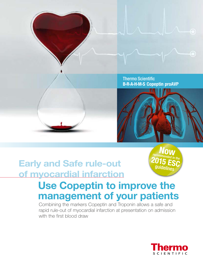Thermo Scientific **B·R·A·H·M·S Copeptin proAVP**



## **Early and Safe rule-out of myocardial infarction**

# guidelines

## **Use Copeptin to improve the management of your patients**

Combining the markers Copeptin and Troponin allows a safe and rapid rule-out of myocardial infarction at presentation on admission with the first blood draw

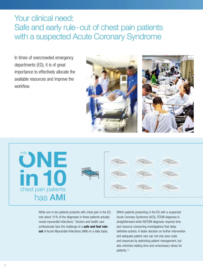## Your clinical need: Safe and early rule - out of chest pain patients with a suspected Acute Coronary Syndrome

In times of overcrowded emergency departments (ED), it is of great importance to effectively allocate the available resources and improve the workflow.





While one in ten patients presents with chest pain in the ED, only about 10 % of the diagnoses in these patients actually reveal myocardial infarctions.<sup>1</sup> Doctors and health care professionals face the challenge of a **safe and fast ruleout** of Acute Myocardial Infarctions (AMI) on a daily basis.

Within patients presenting in the ED with a suspected Acute Coronary Syndrome (ACS), STEMI diagnosis is straightforward while NSTEMI diagnosis requires time and resource-consuming investigations that delay definitive actions. A faster decision on further intervention and adequate patient care can not only save costs and resources by optimising patient management, but also minimise waiting time and unnecessary stress for patients.1,2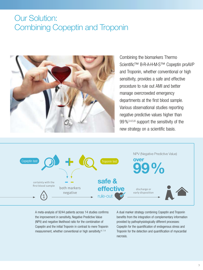## Our Solution: Combining Copeptin and Troponin



Combining the biomarkers Thermo Scientific<sup>™</sup> B·R·A·H·M·S<sup>™</sup> Copeptin proAVP and Troponin, whether conventional or high sensitivity, provides a safe and effective procedure to rule out AMI and better manage overcrowded emergency departments at the first blood sample. Various observational studies reporting negative predictive values higher than 99 %3,4,5,6 support the sensitivity of the new strategy on a scientific basis.



A meta-analysis of 9244 patients across 14 studies confirms the improvement in sensitivity, Negative Predictive Value (NPV) and negative likelihood ratio for the combination of Copeptin and the initial Troponin in contrast to mere Troponin measurement, whether conventional or high sensitivity.<sup>6, 7, 8</sup>

A dual marker strategy combining Copeptin and Troponin benefits from the integration of complementary information provided by pathophysiologically different processes: Copeptin for the quantification of endogenous stress and Troponin for the detection and quantification of myocardial necrosis.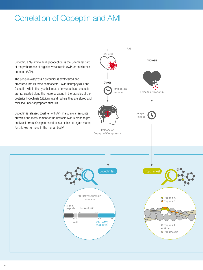## Correlation of Copeptin and AMI

Copeptin, a 39-amino acid glycopeptide, is the C-terminal part of the prohormone of arginine vasopressin (AVP) or antidiuretic hormone (ADH).

The pre-pro-vasopressin precursor is synthesized and processed into its three components - AVP, Neurophysin II and Copeptin- within the hypothalamus; afterwards these products are transported along the neuronal axons in the granules of the posterior hypophysis (pituitary gland), where they are stored and released under appropriate stimulus.

Copeptin is released together with AVP in equimolar amounts but while the measurement of the unstable AVP is prone to preanalytical errors, Copeptin constitutes a stable surrogate marker for this key hormone in the human body.9

> Signal peptide

1

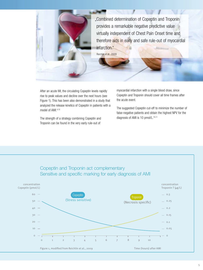

"Combined determination of Copeptin and Troponin provides a remarkable negative predictive value virtually independent of Chest Pain Onset time and therefore aids in early and safe rule-out of myocardial infarction." Reichlin et al., 2009

After an acute MI, the circulating Copeptin levels rapidly rise to peak values and decline over the next hours (see Figure 1). This has been also demonstrated in a study that analyzed the release kinetics of Copeptin in patients with a model of AMI.4,10

The strength of a strategy combining Copeptin and Troponin can be found in the very early rule-out of

myocardial infarction with a single blood draw, since Copeptin and Troponin should cover all time frames after the acute event.

The suggested Copeptin cut-off to minimize the number of false-negative patients and obtain the highest NPV for the diagnosis of AMI is 10 pmol/L.<sup>10,11</sup>

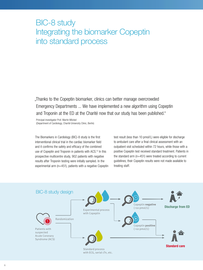## BIC-8 study Integrating the biomarker Copeptin into standard process

"Thanks to the Copeptin biomarker, clinics can better manage overcrowded Emergency Departments ... We have implemented a new algorithm using Copeptin and Troponin at the ED at the Charité now that our study has been published."

Principal investigator Prof. Martin Möckel (Department of Cardiology, Charité University Clinic, Berlin)

The Biomarkers in Cardiology (BIC)-8 study is the first interventional clinical trial in the cardiac biomarker field and it confirms the safety and efficacy of the combined use of Copeptin and Troponin in patients with ACS.<sup>12</sup> In this prospective multicentre study, 902 patients with negative results after Troponin testing were initially sampled. In the experimental arm (n=451), patients with a negative Copeptin test result (less than 10 pmol/L) were eligible for discharge to ambulant care after a final clinical assessment with an outpatient visit scheduled within 72 hours, while those with a positive Copeptin test received standard treatment. Patients in the standard arm (n=451) were treated according to current guidelines; their Copeptin results were not made available to treating staff.

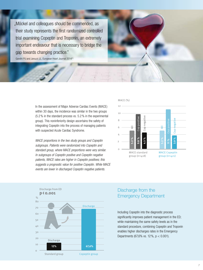"Möckel and colleagues should be commended, as their study represents the first randomized controlled trial examining Copeptin and Troponin, an extremely important endeavour that is necessary to bridge the gap towards changing practice."

Gandhi PU and Januzzi JL, European Heart Journal 201413

In the assessment of Major Adverse Cardiac Events (MACE) within 30 days, the incidence was similar in the two groups (5.2 % in the standard process vs. 5.2 % in the experimental group). This noninferiority design ascertains the safety of integrating Copeptin into the process of managing patients with suspected Acute Cardiac Syndrome.

*MACE proportions in the two study groups and Copeptin subgroups. Patients were randomized into Copeptin and standard group, where MACE proportions were very similar. In subgroups of Copeptin positive and Copeptin negative patients, MACE rates are higher in Copeptin positives; this suggests a prognostic value for positive Copeptin. While MACE events are lower in discharged Copeptin negative patients.*





#### Discharge from the Emergency Department

Including Copeptin into the diagnostic process significantly improves patient management in the ED; while maintaining the same safety levels as in the standard procedure, combining Copeptin and Troponin enables higher discharges rates in the Emergency Departments (67,6% vs. 12 %, p < 0.001).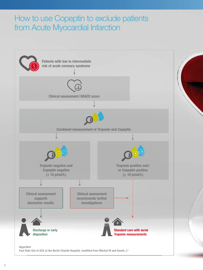## How to use Copeptin to exclude patients from Acute Myocardial Infarction

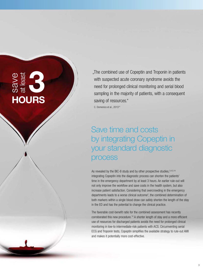## **3 HOURS**<br>
HOURS

"The combined use of Copeptin and Troponin in patients with suspected acute coronary syndrome avoids the need for prolonged clinical monitoring and serial blood sampling in the majority of patients, with a consequent saving of resources."

C. Domenico et al., 201314

## Save time and costs by integrating Copeptin in your standard diagnostic process

As revealed by the BIC-8 study and by other prospective studies, 3,4,5,14 integrating Copeptin into the diagnostic process can shorten the patients' time in the emergency department by at least 3 hours. An earlier rule-out will not only improve the workflow and save costs in the health system, but also increase patient satisfaction. Considering that overcrowding in the emergency departments leads to a worse clinical outcome<sup>2</sup>, the combined determination of both markers within a single blood draw can safely shorten the length of the stay in the ED and has the potential to change the clinical practice.

The favorable cost-benefit ratio for the combined assessment has recently corroborated this new procedure.<sup>14</sup> A shorter length of stay and a more efficient use of resources for discharged patients avoids the need for prolonged clinical monitoring in low-to intermediate-risk patients with ACS. Circumventing serial ECG and Troponin tests, Copeptin simplifies the available strategy to rule-out AMI and makes it potentially more cost-effective.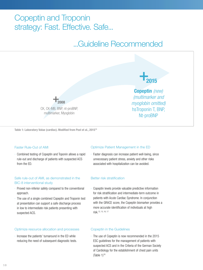## Copeptin and Troponin strategy: Fast. Effective. Safe...

## ...Guideline Recommended



**Table 1: Laboratory Value (cardiac). Modified from Post et al., 201519**

#### Faster Rule-Out of AMI

· Combined testing of Copeptin and Toponin allows a rapid rule-out and discharge of patients with suspected ACS from the ED.

#### Safe rule-out of AMI, as demonstrated in the BIC-8 interventional study

- · Proved non-inferior safety compared to the conventional approach.
- · The use of a single combined Copeptin and Troponin test at presentation can support a safe discharge process in low to intermediate risk patients presenting with suspected ACS.

#### Optimize resource allocation and processes

· Increase the patients' turnaround in the ED while reducing the need of subsequent diagnostic tests.

#### Optimize Patient Management in the ED

· Faster diagnosis can increase patient well-being, since unnecessary patient stress, anxiety and other risks associated with hospitalization can be avoided.

#### Better risk stratification

· Copeptin levels provide valuable predictive information for risk stratification and intermediate-term outcome in patients with Acute Cardiac Syndrome. In conjunction with the GRACE score, the Copeptin biomarker provides a more accurate identification of individuals at high risk.12, 15, 16, 17

#### Copeptin in the Guidelines

· The use of Copeptin is now recommended in the 2015 ESC guidelines for the management of patients with suspected ACS and in the Criteria of the German Society of Cardiology for the establishment of chest pain units  $(Table 1)<sup>18</sup>$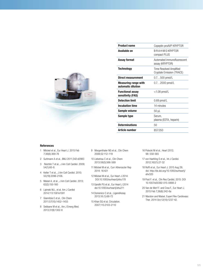

| <b>Product name</b>                               | Copeptin proAVP KRYPTOR                              |
|---------------------------------------------------|------------------------------------------------------|
| Available on                                      | B·R·A·H·M·S KRYPTOR<br>compact PLUS                  |
| <b>Assay format</b>                               | Automated immunofluorescent<br>assay (KRYPTOR)       |
| <b>Technology</b>                                 | Time Resolved Amplified<br>Cryptate Emission (TRACE) |
| Direct measurement                                | $0.7500$ pmol/L                                      |
| <b>Measuring range with</b><br>automatic dilution | $0.72000$ pmol/L                                     |
| <b>Functional assay</b><br>sensitivity (FAS)      | $<$ 1.08 pmol/L                                      |
| <b>Detection limit</b>                            | $0.69$ pmol/L                                        |
| <b>Incubation time</b>                            | 14 minutes                                           |
| Sample volume                                     | 50 µL                                                |
| Sample type                                       | Serum,<br>plasma (EDTA, heparin)                     |
| <b>Determinations</b>                             | 50                                                   |
| <b>Article number</b>                             | 857.050                                              |
|                                                   |                                                      |

#### **References**

- 1 Möckel et al., Eur Heart J. 2015 Feb 7;36(6):369-76
- 2 Guttmann A et al., BMJ 2011;342:d2983
- 3 Reichlin T et al., J Am Coll Cardiol. 2009; 54(1):60-8.
- 4 Keller T et al., J Am Coll Cardiol. 2010; 55(19):2096-2106.
- 5 Maisel A, et al., J Am Coll Cardiol. 2013; 62(2):150-160
- 6 Lipinski MJ., et al. Am J Cardiol 2014;113:1581e1591
- 7 Giannitsis E et al., Clin Chem 2011;57(10):1452–1455
- 8 Sebbane M et al., Am J Emerg Med. 2013;31(9):1302-8
- 9 Morgenthaler NG et al., Clin Chem 2006;52:112–119
- 10 Liebetrau C et al., Clin Chem 2013:59(3);566-569
- 11 Möckel M et al., Curr Atheroscler Rep 2014: 16:421
- 12 Möckel M et al., Eur Heart J 2014: DOI:10.1093/eurheartj/ehu178
- 13 Gandhi PU et al., Eur Heart J 2014 doi:10.1093/eurheartj/ehu211
- 14 Domenico C et al., LigandAssay 2013;18 (1):68-72
- 15 Khan SQ et al, Circulation. 2007;115:2103-2110

16 Potocki M et al., Heart 2012; 98: 558-565

- 17 von Haehling S et al., Int J Cardiol. 2012;162(1):27-32
- 18 Roffi et al., Eur Heart J. 2015 Aug 29; doi: http://dx.doi.org/10.1093/eurheartj/ ehv320
- 19 Post F. et al., Clin Res Cardiol, 2015: DOI 10.1007/s00392-015-0888-2
- 20 Van de Werf F. and Crea F., Eur Heart J. 2015 Feb 7;36(6):342-6a
- 21 Marston and Maisel, Expert Rev Cardiovasc Ther. 2014 Oct;12(10):1237-42.